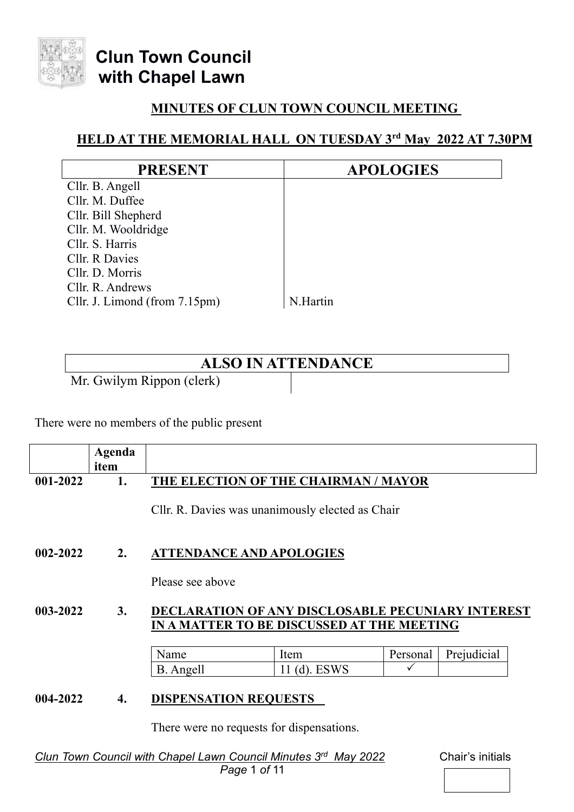

## **MINUTES OF CLUN TOWN COUNCIL MEETING**

## **HELD AT THE MEMORIAL HALL ON TUESDAY 3rd May 2022 AT 7.30PM**

| <b>PRESENT</b>                | <b>APOLOGIES</b> |
|-------------------------------|------------------|
| Cllr. B. Angell               |                  |
| Cllr. M. Duffee               |                  |
| Cllr. Bill Shepherd           |                  |
| Cllr. M. Wooldridge           |                  |
| Cllr. S. Harris               |                  |
| Cllr. R Davies                |                  |
| Cllr. D. Morris               |                  |
| Cllr. R. Andrews              |                  |
| Cllr. J. Limond (from 7.15pm) | N.Hartin         |

## **ALSO IN ATTENDANCE**

Mr. Gwilym Rippon (clerk)

There were no members of the public present

|              | Agenda |                                                                                                        |              |          |             |  |  |  |
|--------------|--------|--------------------------------------------------------------------------------------------------------|--------------|----------|-------------|--|--|--|
|              | item   |                                                                                                        |              |          |             |  |  |  |
| 001-2022     | 1.     | THE ELECTION OF THE CHAIRMAN / MAYOR                                                                   |              |          |             |  |  |  |
|              |        | Cllr. R. Davies was unanimously elected as Chair                                                       |              |          |             |  |  |  |
| $002 - 2022$ | 2.     | <b>ATTENDANCE AND APOLOGIES</b>                                                                        |              |          |             |  |  |  |
|              |        | Please see above                                                                                       |              |          |             |  |  |  |
| 003-2022     | 3.     | <b>DECLARATION OF ANY DISCLOSABLE PECUNIARY INTEREST</b><br>IN A MATTER TO BE DISCUSSED AT THE MEETING |              |          |             |  |  |  |
|              |        |                                                                                                        |              |          |             |  |  |  |
|              |        | Name                                                                                                   | Item         | Personal | Prejudicial |  |  |  |
|              |        | B. Angell                                                                                              | 11 (d). ESWS |          |             |  |  |  |
| 004-2022     | 4.     | <b>DISPENSATION REQUESTS</b><br>There were no requests for dispensations.                              |              |          |             |  |  |  |

*Clun Town Council with Chapel Lawn Council Minutes 3*

*Chair's initials* 

 *Page* 1 *of* 11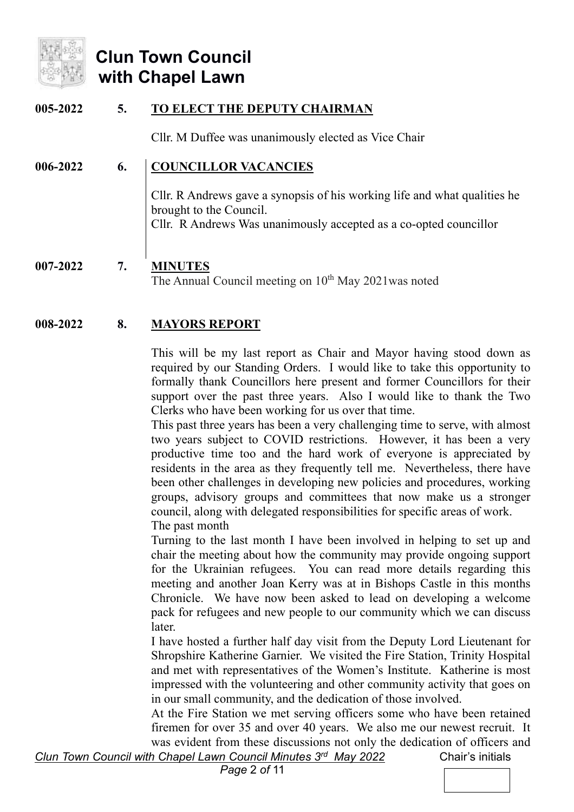

### **005-2022 5. TO ELECT THE DEPUTY CHAIRMAN**

Cllr. M Duffee was unanimously elected as Vice Chair

#### **006-2022 6. COUNCILLOR VACANCIES**

Cllr. R Andrews gave a synopsis of his working life and what qualities he brought to the Council. Cllr. R Andrews Was unanimously accepted as a co-opted councillor

### **007-2022 7. MINUTES** The Annual Council meeting on  $10<sup>th</sup>$  May 2021 was noted

### **008-2022 8. MAYORS REPORT**

This will be my last report as Chair and Mayor having stood down as required by our Standing Orders. I would like to take this opportunity to formally thank Councillors here present and former Councillors for their support over the past three years. Also I would like to thank the Two Clerks who have been working for us over that time.

This past three years has been a very challenging time to serve, with almost two years subject to COVID restrictions. However, it has been a very productive time too and the hard work of everyone is appreciated by residents in the area as they frequently tell me. Nevertheless, there have been other challenges in developing new policies and procedures, working groups, advisory groups and committees that now make us a stronger council, along with delegated responsibilities for specific areas of work. The past month

Turning to the last month I have been involved in helping to set up and chair the meeting about how the community may provide ongoing support for the Ukrainian refugees. You can read more details regarding this meeting and another Joan Kerry was at in Bishops Castle in this months Chronicle. We have now been asked to lead on developing a welcome pack for refugees and new people to our community which we can discuss later.

I have hosted a further half day visit from the Deputy Lord Lieutenant for Shropshire Katherine Garnier. We visited the Fire Station, Trinity Hospital and met with representatives of the Women's Institute. Katherine is most impressed with the volunteering and other community activity that goes on in our small community, and the dedication of those involved.

At the Fire Station we met serving officers some who have been retained firemen for over 35 and over 40 years. We also me our newest recruit. It was evident from these discussions not only the dedication of officers and

*Clun Town Council with Chapel Lawn Council Minutes 3<sup>rd</sup> May 2022 Chair's initials* 

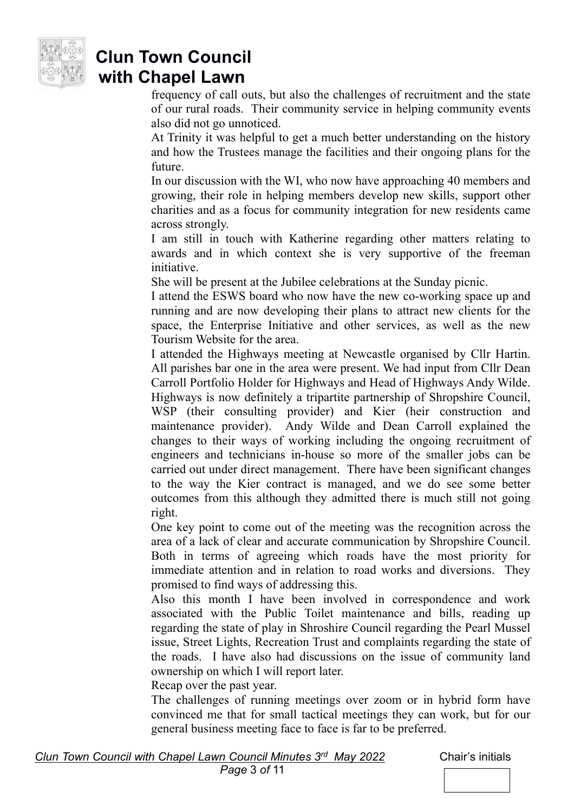

frequency of call outs, but also the challenges of recruitment and the state of our rural roads. Their community service in helping community events also did not go unnoticed.

At Trinity it was helpful to get a much better understanding on the history and how the Trustees manage the facilities and their ongoing plans for the future.

In our discussion with the WI, who now have approaching 40 members and growing, their role in helping members develop new skills, support other charities and as a focus for community integration for new residents came across strongly.

I am still in touch with Katherine regarding other matters relating to awards and in which context she is very supportive of the freeman initiative.

She will be present at the Jubilee celebrations at the Sunday picnic.

I attend the ESWS board who now have the new co-working space up and running and are now developing their plans to attract new clients for the space, the Enterprise Initiative and other services, as well as the new Tourism Website for the area.

I attended the Highways meeting at Newcastle organised by Cllr Hartin. All parishes bar one in the area were present. We had input from Cllr Dean Carroll Portfolio Holder for Highways and Head of Highways Andy Wilde. Highways is now definitely a tripartite partnership of Shropshire Council, WSP (their consulting provider) and Kier (heir construction and maintenance provider). Andy Wilde and Dean Carroll explained the changes to their ways of working including the ongoing recruitment of engineers and technicians in-house so more of the smaller jobs can be carried out under direct management. There have been significant changes to the way the Kier contract is managed, and we do see some better outcomes from this although they admitted there is much still not going right.

One key point to come out of the meeting was the recognition across the area of a lack of clear and accurate communication by Shropshire Council. Both in terms of agreeing which roads have the most priority for immediate attention and in relation to road works and diversions. They promised to find ways of addressing this.

Also this month I have been involved in correspondence and work associated with the Public Toilet maintenance and bills, reading up regarding the state of play in Shroshire Council regarding the Pearl Mussel issue, Street Lights, Recreation Trust and complaints regarding the state of the roads. I have also had discussions on the issue of community land ownership on which I will report later.

Recap over the past year.

The challenges of running meetings over zoom or in hybrid form have convinced me that for small tactical meetings they can work, but for our general business meeting face to face is far to be preferred.

*Clun Town Council with Chapel Lawn Council Minutes 3<sup>rd</sup> May 2022 Chair's initials* 

 *Page* 3 *of* 11

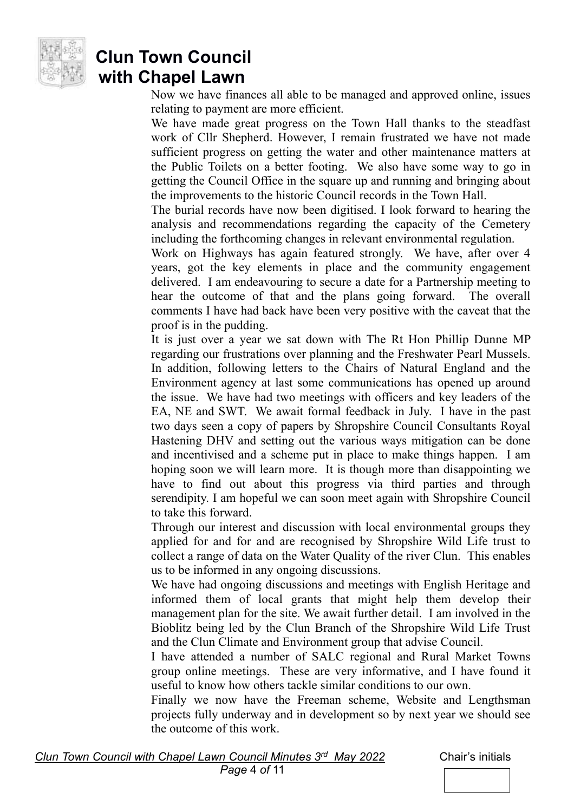

Now we have finances all able to be managed and approved online, issues relating to payment are more efficient.

We have made great progress on the Town Hall thanks to the steadfast work of Cllr Shepherd. However, I remain frustrated we have not made sufficient progress on getting the water and other maintenance matters at the Public Toilets on a better footing. We also have some way to go in getting the Council Office in the square up and running and bringing about the improvements to the historic Council records in the Town Hall.

The burial records have now been digitised. I look forward to hearing the analysis and recommendations regarding the capacity of the Cemetery including the forthcoming changes in relevant environmental regulation.

Work on Highways has again featured strongly. We have, after over 4 years, got the key elements in place and the community engagement delivered. I am endeavouring to secure a date for a Partnership meeting to hear the outcome of that and the plans going forward. The overall comments I have had back have been very positive with the caveat that the proof is in the pudding.

It is just over a year we sat down with The Rt Hon Phillip Dunne MP regarding our frustrations over planning and the Freshwater Pearl Mussels. In addition, following letters to the Chairs of Natural England and the Environment agency at last some communications has opened up around the issue. We have had two meetings with officers and key leaders of the EA, NE and SWT. We await formal feedback in July. I have in the past two days seen a copy of papers by Shropshire Council Consultants Royal Hastening DHV and setting out the various ways mitigation can be done and incentivised and a scheme put in place to make things happen. I am hoping soon we will learn more. It is though more than disappointing we have to find out about this progress via third parties and through serendipity. I am hopeful we can soon meet again with Shropshire Council to take this forward.

Through our interest and discussion with local environmental groups they applied for and for and are recognised by Shropshire Wild Life trust to collect a range of data on the Water Quality of the river Clun. This enables us to be informed in any ongoing discussions.

We have had ongoing discussions and meetings with English Heritage and informed them of local grants that might help them develop their management plan for the site. We await further detail. I am involved in the Bioblitz being led by the Clun Branch of the Shropshire Wild Life Trust and the Clun Climate and Environment group that advise Council.

I have attended a number of SALC regional and Rural Market Towns group online meetings. These are very informative, and I have found it useful to know how others tackle similar conditions to our own.

Finally we now have the Freeman scheme, Website and Lengthsman projects fully underway and in development so by next year we should see the outcome of this work.

*Chair's initials* 

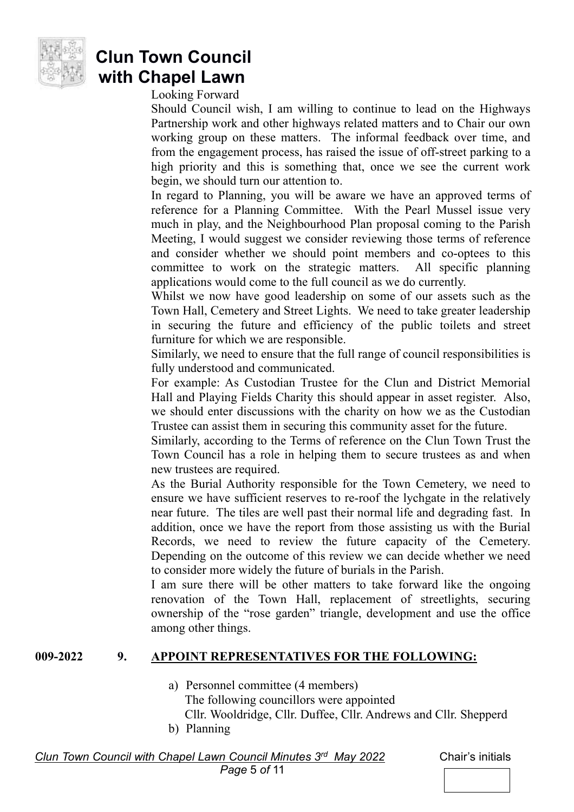

Looking Forward

Should Council wish, I am willing to continue to lead on the Highways Partnership work and other highways related matters and to Chair our own working group on these matters. The informal feedback over time, and from the engagement process, has raised the issue of off-street parking to a high priority and this is something that, once we see the current work begin, we should turn our attention to.

In regard to Planning, you will be aware we have an approved terms of reference for a Planning Committee. With the Pearl Mussel issue very much in play, and the Neighbourhood Plan proposal coming to the Parish Meeting, I would suggest we consider reviewing those terms of reference and consider whether we should point members and co-optees to this committee to work on the strategic matters. All specific planning applications would come to the full council as we do currently.

Whilst we now have good leadership on some of our assets such as the Town Hall, Cemetery and Street Lights. We need to take greater leadership in securing the future and efficiency of the public toilets and street furniture for which we are responsible.

Similarly, we need to ensure that the full range of council responsibilities is fully understood and communicated.

For example: As Custodian Trustee for the Clun and District Memorial Hall and Playing Fields Charity this should appear in asset register. Also, we should enter discussions with the charity on how we as the Custodian Trustee can assist them in securing this community asset for the future.

Similarly, according to the Terms of reference on the Clun Town Trust the Town Council has a role in helping them to secure trustees as and when new trustees are required.

As the Burial Authority responsible for the Town Cemetery, we need to ensure we have sufficient reserves to re-roof the lychgate in the relatively near future. The tiles are well past their normal life and degrading fast. In addition, once we have the report from those assisting us with the Burial Records, we need to review the future capacity of the Cemetery. Depending on the outcome of this review we can decide whether we need to consider more widely the future of burials in the Parish.

I am sure there will be other matters to take forward like the ongoing renovation of the Town Hall, replacement of streetlights, securing ownership of the "rose garden" triangle, development and use the office among other things.

#### **009-2022 9. APPOINT REPRESENTATIVES FOR THE FOLLOWING:**

a) Personnel committee (4 members)

The following councillors were appointed

Cllr. Wooldridge, Cllr. Duffee, Cllr. Andrews and Cllr. Shepperd

b) Planning

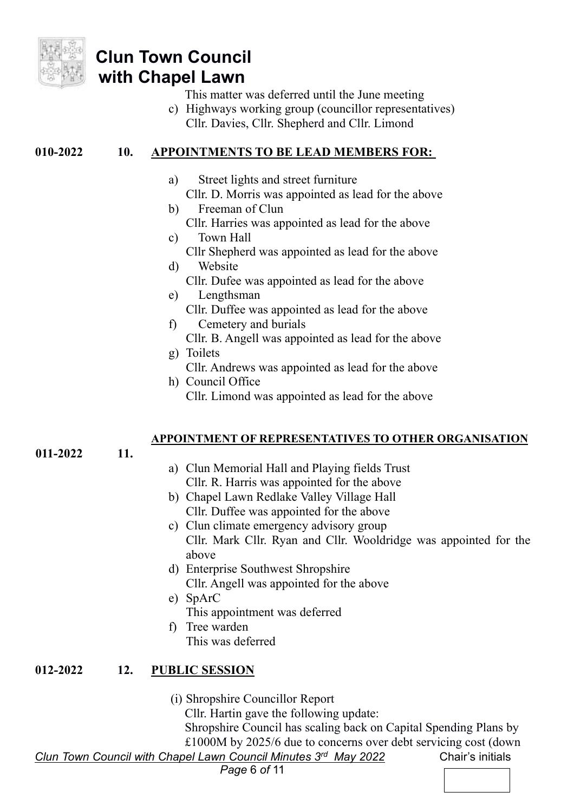

- This matter was deferred until the June meeting
- c) Highways working group (councillor representatives) Cllr. Davies, Cllr. Shepherd and Cllr. Limond

### **010-2022 10. APPOINTMENTS TO BE LEAD MEMBERS FOR:**

- a) Street lights and street furniture
	- Cllr. D. Morris was appointed as lead for the above
- b) Freeman of Clun Cllr. Harries was appointed as lead for the above
- c) Town Hall Cllr Shepherd was appointed as lead for the above
- d) Website
	- Cllr. Dufee was appointed as lead for the above
- e) Lengthsman Cllr. Duffee was appointed as lead for the above
- f) Cemetery and burials Cllr. B. Angell was appointed as lead for the above
- g) Toilets Cllr. Andrews was appointed as lead for the above
- h) Council Office Cllr. Limond was appointed as lead for the above

#### **APPOINTMENT OF REPRESENTATIVES TO OTHER ORGANISATION**

**011-2022 11.**

- a) Clun Memorial Hall and Playing fields Trust Cllr. R. Harris was appointed for the above
- b) Chapel Lawn Redlake Valley Village Hall Cllr. Duffee was appointed for the above
- c) Clun climate emergency advisory group Cllr. Mark Cllr. Ryan and Cllr. Wooldridge was appointed for the above
- d) Enterprise Southwest Shropshire Cllr. Angell was appointed for the above
- e) SpArC This appointment was deferred
- f) Tree warden This was deferred

### **012-2022 12. PUBLIC SESSION**

(i) Shropshire Councillor Report

Cllr. Hartin gave the following update:

Shropshire Council has scaling back on Capital Spending Plans by £1000M by 2025/6 due to concerns over debt servicing cost (down

*Clun Town Council with Chapel Lawn Council Minutes 3<sup>rd</sup> May 2022 Chair's initials*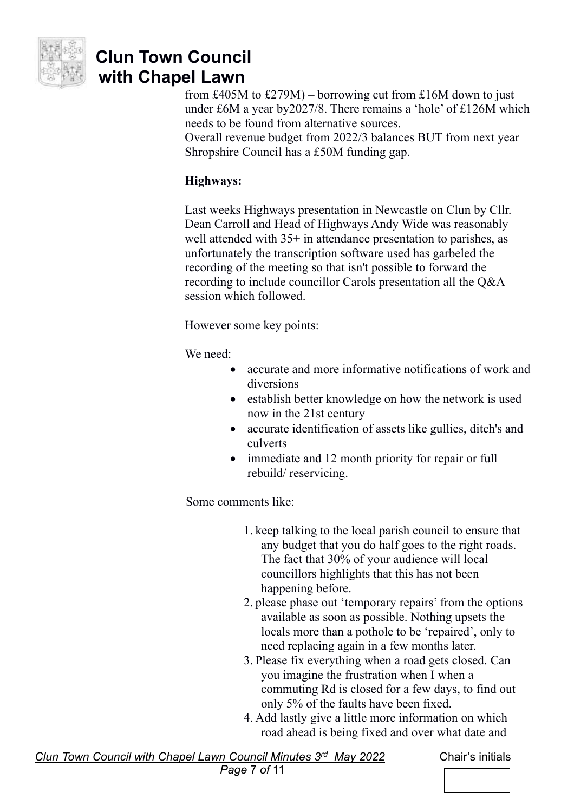

from £405M to £279M) – borrowing cut from £16M down to just under £6M a year by2027/8. There remains a 'hole' of £126M which needs to be found from alternative sources.

Overall revenue budget from 2022/3 balances BUT from next year Shropshire Council has a £50M funding gap.

### **Highways:**

Last weeks Highways presentation in Newcastle on Clun by Cllr. Dean Carroll and Head of Highways Andy Wide was reasonably well attended with 35+ in attendance presentation to parishes, as unfortunately the transcription software used has garbeled the recording of the meeting so that isn't possible to forward the recording to include councillor Carols presentation all the Q&A session which followed.

However some key points:

We need:

- accurate and more informative notifications of work and diversions
- establish better knowledge on how the network is used now in the 21st century
- accurate identification of assets like gullies, ditch's and culverts
- immediate and 12 month priority for repair or full rebuild/ reservicing.

Some comments like:

- 1. keep talking to the local parish council to ensure that any budget that you do half goes to the right roads. The fact that 30% of your audience will local councillors highlights that this has not been happening before.
- 2. please phase out 'temporary repairs' from the options available as soon as possible. Nothing upsets the locals more than a pothole to be 'repaired', only to need replacing again in a few months later.
- 3. Please fix everything when a road gets closed. Can you imagine the frustration when I when a commuting Rd is closed for a few days, to find out only 5% of the faults have been fixed.
- 4. Add lastly give a little more information on which road ahead is being fixed and over what date and

*Clun Town Council with Chapel Lawn Council Minutes 3*

*Chair's initials*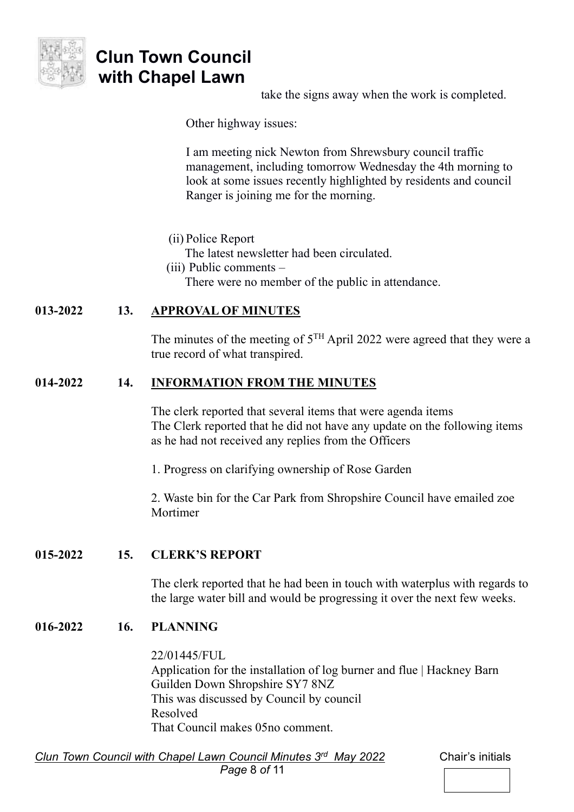

take the signs away when the work is completed.

Other highway issues:

I am meeting nick Newton from Shrewsbury council traffic management, including tomorrow Wednesday the 4th morning to look at some issues recently highlighted by residents and council Ranger is joining me for the morning.

(ii) Police Report

The latest newsletter had been circulated.

(iii) Public comments –

There were no member of the public in attendance.

#### **013-2022 13. APPROVAL OF MINUTES**

The minutes of the meeting of  $5^{TH}$  April 2022 were agreed that they were a true record of what transpired.

#### **014-2022 14. INFORMATION FROM THE MINUTES**

The clerk reported that several items that were agenda items The Clerk reported that he did not have any update on the following items as he had not received any replies from the Officers

1. Progress on clarifying ownership of Rose Garden

2. Waste bin for the Car Park from Shropshire Council have emailed zoe Mortimer

**015-2022 15. CLERK'S REPORT**

The clerk reported that he had been in touch with waterplus with regards to the large water bill and would be progressing it over the next few weeks.

#### **016-2022 16. PLANNING**

22/01445/FUL Application for the installation of log burner and flue | Hackney Barn Guilden Down Shropshire SY7 8NZ This was discussed by Council by council Resolved That Council makes 05no comment.

*Clun Town Council with Chapel Lawn Council Minutes 3<sup>rd</sup> May 2022 Chair's initials Page* 8 *of* 11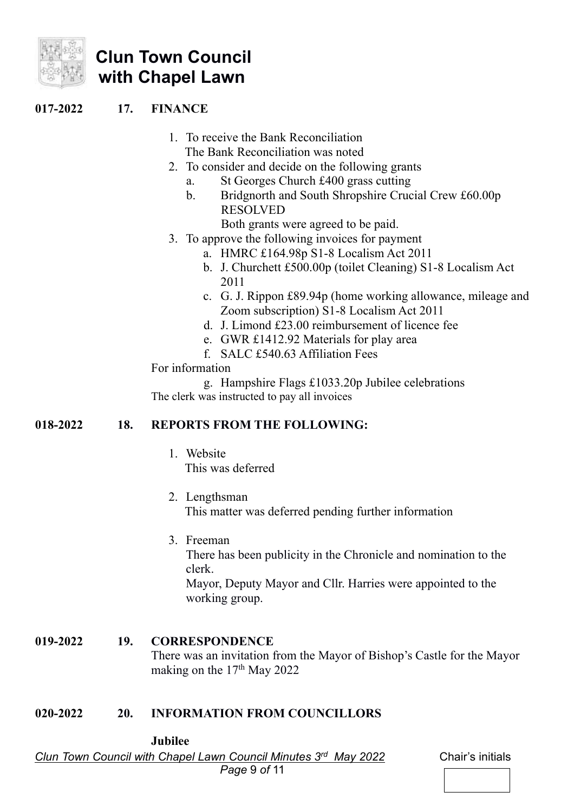

#### **017-2022 17. FINANCE**

- 1. To receive the Bank Reconciliation The Bank Reconciliation was noted
- 2. To consider and decide on the following grants
	- a. St Georges Church £400 grass cutting
	- b. Bridgnorth and South Shropshire Crucial Crew £60.00p RESOLVED
		- Both grants were agreed to be paid.
- 3. To approve the following invoices for payment
	- a. HMRC £164.98p S1-8 Localism Act 2011
	- b. J. Churchett £500.00p (toilet Cleaning) S1-8 Localism Act 2011
	- c. G. J. Rippon £89.94p (home working allowance, mileage and Zoom subscription) S1-8 Localism Act 2011
	- d. J. Limond £23.00 reimbursement of licence fee
	- e. GWR £1412.92 Materials for play area
	- f. SALC £540.63 Affiliation Fees

For information

g. Hampshire Flags £1033.20p Jubilee celebrations The clerk was instructed to pay all invoices

#### **018-2022 18. REPORTS FROM THE FOLLOWING:**

- 1. Website This was deferred
- 2. Lengthsman This matter was deferred pending further information
- 3. Freeman There has been publicity in the Chronicle and nomination to the clerk. Mayor, Deputy Mayor and Cllr. Harries were appointed to the working group.

#### **019-2022 19. CORRESPONDENCE** There was an invitation from the Mayor of Bishop's Castle for the Mayor making on the  $17<sup>th</sup>$  May 2022

#### **020-2022 20. INFORMATION FROM COUNCILLORS**

**Jubilee** 

*Clun Town Council with Chapel Lawn Council Minutes 3<sup>rd</sup> May 2022 Chair's initials*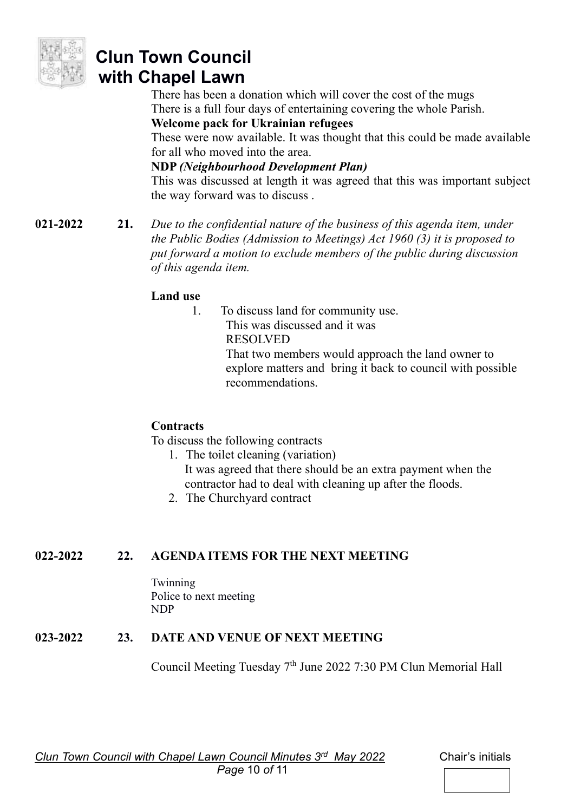

There has been a donation which will cover the cost of the mugs There is a full four days of entertaining covering the whole Parish.

**Welcome pack for Ukrainian refugees** 

These were now available. It was thought that this could be made available for all who moved into the area.

### **NDP** *(Neighbourhood Development Plan)*

This was discussed at length it was agreed that this was important subject the way forward was to discuss .

**021-2022 21.** *Due to the confidential nature of the business of this agenda item, under the Public Bodies (Admission to Meetings) Act 1960 (3) it is proposed to put forward a motion to exclude members of the public during discussion of this agenda item.* 

### **Land use**

1. To discuss land for community use. This was discussed and it was RESOLVED That two members would approach the land owner to explore matters and bring it back to council with possible recommendations.

### **Contracts**

To discuss the following contracts

- 1. The toilet cleaning (variation) It was agreed that there should be an extra payment when the contractor had to deal with cleaning up after the floods.
- 2. The Churchyard contract

### **022-2022 22. AGENDA ITEMS FOR THE NEXT MEETING**

Twinning Police to next meeting NDP

## **023-2022 23. DATE AND VENUE OF NEXT MEETING**

Council Meeting Tuesday 7th June 2022 7:30 PM Clun Memorial Hall